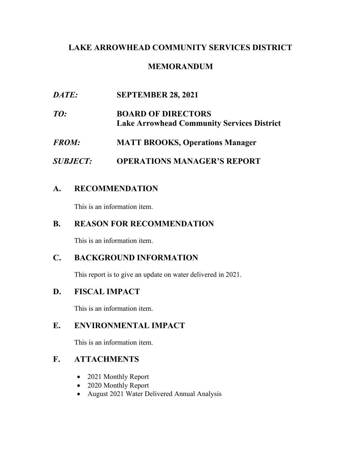## **LAKE ARROWHEAD COMMUNITY SERVICES DISTRICT**

# **MEMORANDUM**

| DATE:           | <b>SEPTEMBER 28, 2021</b>                                                      |
|-----------------|--------------------------------------------------------------------------------|
| TO:             | <b>BOARD OF DIRECTORS</b><br><b>Lake Arrowhead Community Services District</b> |
| <b>FROM:</b>    | <b>MATT BROOKS, Operations Manager</b>                                         |
| <b>SUBJECT:</b> | <b>OPERATIONS MANAGER'S REPORT</b>                                             |

## **A. RECOMMENDATION**

This is an information item.

## **B. REASON FOR RECOMMENDATION**

This is an information item.

# **C. BACKGROUND INFORMATION**

This report is to give an update on water delivered in 2021.

# **D. FISCAL IMPACT**

This is an information item.

## **E. ENVIRONMENTAL IMPACT**

This is an information item.

# **F. ATTACHMENTS**

- 2021 Monthly Report
- 2020 Monthly Report
- August 2021 Water Delivered Annual Analysis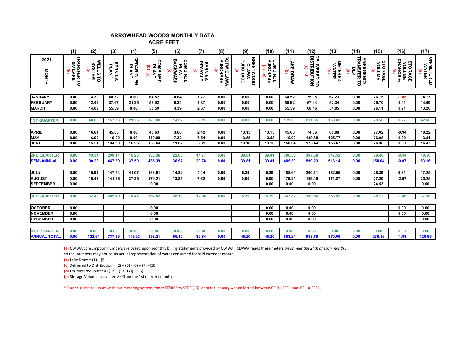#### **ARROWHEAD WOODS MONTHLY DATA ACRE FEET**

|                     | (1)                                                  | (2)                                                  | (3)                     | (4)                         | (5)                                       | (6)                                                                    | (7)                                                 | (8)                         | (9)                                               | (10)                                        | (11)                                       | (12)              | (13)                                              | (14)                                          | (15)                                               | (16)                                                      | (17)                             |
|---------------------|------------------------------------------------------|------------------------------------------------------|-------------------------|-----------------------------|-------------------------------------------|------------------------------------------------------------------------|-----------------------------------------------------|-----------------------------|---------------------------------------------------|---------------------------------------------|--------------------------------------------|-------------------|---------------------------------------------------|-----------------------------------------------|----------------------------------------------------|-----------------------------------------------------------|----------------------------------|
| 2021                | ୧                                                    |                                                      |                         |                             |                                           |                                                                        |                                                     |                             |                                                   |                                             |                                            | $\mathbf{G}$      |                                                   |                                               |                                                    |                                                           |                                  |
| <b>HINOM</b>        | <b>TRANSFER TO</b><br>LAKE<br>$\widehat{\mathbf{c}}$ | <b>WELLS TO<br/>SYSTEM</b><br>$\widehat{\mathbf{e}}$ | <b>BERNINA</b><br>PLANT | <b>CEDAR GLEN<br/>PLANT</b> | <b>COMBINED</b><br>PLANT<br>$\frac{1}{2}$ | <b>BACKWASH</b><br><b>COMBINED<br/>PLANT</b><br>$\widehat{\mathbf{e}}$ | <b>BERNINA</b><br>RECYCLE<br>$\widehat{\mathbf{e}}$ | ROTW CLAWA<br>PURCHASE<br>ම | <b>BRENTWOOD</b><br>PURCHASE<br><b>CLAWA</b><br>ම | <b>COMBINED<br/>PURCHASE</b><br>$(a)$ $(c)$ | <b>LAKE DRAW</b><br>$\widehat{\mathbf{c}}$ | DELIVERED TO<br>ê | <b>METERED</b><br>WATER<br>$\widehat{\mathbf{e}}$ | <b>EMERGENCY<br/>TRANSFER TO<br/>DLP</b><br>ê | STORAGE<br><b>VOLUME</b><br>$\widehat{\mathbf{e}}$ | <b>STORAGE<br/>VOLUME<br/>CHANGE +/-</b><br>$\widehat{e}$ | <b>UN-METERED<br/>WATER</b><br>ē |
|                     |                                                      |                                                      |                         |                             |                                           |                                                                        |                                                     |                             |                                                   |                                             |                                            |                   |                                                   |                                               |                                                    |                                                           |                                  |
| <b>JANUARY</b>      | 0.00                                                 | 14.30                                                | 64.52                   | 0.00                        | 64.52                                     | 4.64                                                                   | 1.77                                                | 0.00                        | 0.00                                              | 0.00                                        | 64.52                                      | 75.95             | 62.23                                             | 0.00                                          | 26.75                                              | $-1.05$                                                   | 14.77                            |
| <b>FEBRUARY</b>     | 0.00                                                 | 12.49                                                | 37.67                   | 21.25                       | 58.92                                     | 5.34                                                                   | 1.37                                                | 0.00                        | 0.00                                              | 0.00                                        | 58.92                                      | 67.44             | 52.34                                             | 0.00                                          | 25.70                                              | 0.41                                                      | 14.69                            |
| <b>MARCH</b>        | 0.00                                                 | 14.09                                                | 55.59                   | 0.00                        | 55.59                                     | 4.39                                                                   | 2.87                                                | 0.00                        | 0.00                                              | 0.00                                        | 55.59                                      | 68.16             | 54.05                                             | 0.00                                          | 26.11                                              | 0.91                                                      | 13.20                            |
|                     |                                                      |                                                      |                         |                             |                                           |                                                                        |                                                     |                             |                                                   |                                             |                                            |                   |                                                   |                                               |                                                    |                                                           |                                  |
| <b>1ST QUARTER</b>  | 0.00                                                 | 40.88                                                | 157.78                  | 21.25                       | 179.03                                    | 14.37                                                                  | 6.01                                                | 0.00                        | 0.00                                              | 0.00                                        | 179.03                                     | 211.55            | 168.62                                            | 0.00                                          | 78.56                                              | 0.27                                                      | 42.66                            |
| <b>APRIL</b>        | 0.00                                                 | 16.84                                                | 45.63                   | 0.00                        | 45.63                                     | 3.66                                                                   | 2.42                                                | 0.00                        | 13.13                                             | 13.13                                       | 45.63                                      | 74.36             | 65.08                                             | 0.00                                          | 27.02                                              | $-0.94$                                                   | 10.22                            |
| <b>MAY</b>          | 0.00                                                 | 16.99                                                | 110.09                  | 0.00                        | 110.09                                    | 7.32                                                                   | 6.54                                                | 0.00                        | 13.58                                             | 13.58                                       | 110.09                                     | 139.88            | 125.77                                            | 0.00                                          | 26.08                                              | 0.30                                                      | 13.81                            |
| JUNE                | 0.00                                                 | 15.51                                                | 134.39                  | 16.25                       | 150.64                                    | 11.62                                                                  | 5.81                                                | 0.00                        | 13.10                                             | 13.10                                       | 150.64                                     | 173.44            | 156.67                                            | 0.00                                          | 26.38                                              | 0.30                                                      | 16.47                            |
|                     |                                                      |                                                      |                         |                             |                                           |                                                                        |                                                     |                             |                                                   |                                             |                                            |                   |                                                   |                                               |                                                    |                                                           |                                  |
| <b>2ND QUARTER</b>  | 0.00                                                 | 49.34                                                | 290.11                  | 16.25                       | 306.36                                    | 22.60                                                                  | 14.77                                               | 0.00                        | 39.81                                             | 39.81                                       | 306.36                                     | 387.68            | 347.52                                            | 0.00                                          | 79.48                                              | $-0.34$                                                   | 40.50                            |
| <b>SEMI-ANNUAL</b>  | 0.00                                                 | 90.22                                                | 447.89                  | 37.50                       | 485.39                                    | 36.97                                                                  | 20.78                                               | 0.00                        | 39.81                                             | 39.81                                       | 485.39                                     | 599.23            | 516.14                                            | 0.00                                          | 158.04                                             | $-0.07$                                                   | 83.16                            |
|                     |                                                      |                                                      |                         |                             |                                           |                                                                        |                                                     |                             |                                                   |                                             |                                            |                   |                                                   |                                               |                                                    |                                                           |                                  |
| JULY                | 0.00                                                 | 15.99                                                | 147.54                  | 41.07                       | 188.61                                    | 14.32                                                                  | 4.44                                                | 0.00                        | 5.39                                              | 5.39                                        | 188.61                                     | 200.11            | 182.05                                            | 0.00                                          | 26.39                                              | 0.81                                                      | 17.25                            |
| <b>AUGUST</b>       | 0.00                                                 | 16.43                                                | 141.86                  | 37.35                       | 179.21                                    | 13.81                                                                  | 7.62                                                | 0.00                        | 0.00                                              | 0.00                                        | 179.21                                     | 189.45            | 171.87                                            | 0.00                                          | 27.20                                              | $-2.67$                                                   | 20.25                            |
| <b>SEPTEMBER</b>    | 0.00                                                 |                                                      |                         |                             | 0.00                                      |                                                                        |                                                     |                             |                                                   | 0.00                                        | 0.00                                       | 0.00              |                                                   |                                               | 24.53                                              |                                                           | 0.00                             |
| <b>3RD QUARTER</b>  | 0.00                                                 | 32.42                                                | 289.40                  | 78.42                       | 367.82                                    | 28.13                                                                  | 12.06                                               | 0.00                        | 5.39                                              | 5.39                                        | 367.82                                     | 389.56            | 353.92                                            | 0.00                                          | 78.12                                              | $-1.86$                                                   | 37.50                            |
|                     |                                                      |                                                      |                         |                             |                                           |                                                                        |                                                     |                             |                                                   |                                             |                                            |                   |                                                   |                                               |                                                    |                                                           |                                  |
| <b>OCTOBER</b>      | 0.00                                                 |                                                      |                         |                             | 0.00                                      |                                                                        |                                                     |                             |                                                   | 0.00                                        | 0.00                                       | 0.00              |                                                   |                                               |                                                    | 0.00                                                      | 0.00                             |
| <b>NOVEMBER</b>     | 0.00                                                 |                                                      |                         |                             | 0.00                                      |                                                                        |                                                     |                             |                                                   | 0.00                                        | 0.00                                       | 0.00              |                                                   |                                               |                                                    | 0.00                                                      | 0.00                             |
| <b>DECEMBER</b>     | 0.00                                                 |                                                      |                         |                             | 0.00                                      |                                                                        |                                                     |                             |                                                   | 0.00                                        | 0.00                                       | 0.00              |                                                   |                                               |                                                    |                                                           | 0.00                             |
| <b>4TH QUARTER</b>  | 0.00                                                 | 0.00                                                 | 0.00                    | 0.00                        | 0.00                                      | 0.00                                                                   | 0.00                                                | 0.00                        | 0.00                                              | 0.00                                        | 0.00                                       | 0.00              | 0.00                                              | 0.00                                          | 0.00                                               | 0.00                                                      | 0.00                             |
| <b>ANNUAL TOTAL</b> | 0.00                                                 | 122.64                                               | 737.29                  | 115.92                      | 853.21                                    | 65.10                                                                  | 32.84                                               | 0.00                        | 45.20                                             | 45.20                                       | 853.21                                     | 988.79            | 870.06                                            | 0.00                                          | 236.16                                             | $-1.93$                                                   | 120.66                           |

**(a)** CLAWA consumption numbers are based upon monthly billing statements provided by CLAWA. CLAWA reads these meters *on or near the 24th of each month* ,

so the numbers may not be an actual representation of water consumed for said calendar month.

**(b)** Lake Draw =  $(1) + (5)$ 

**(c)** Delivered to Distribution =  $(2) + (5) - (6) + (7) + (10)$ 

**(d)** Un-Metered Water = ((12) - (13+14)) - (16)

**(e)** Storage Volume calculated 8:00 am the 1st of every month.

\* Due to technical issues with our metering system, the METERED WATER (13) data for January was collected between 02-01-2021 and 02-10-2021.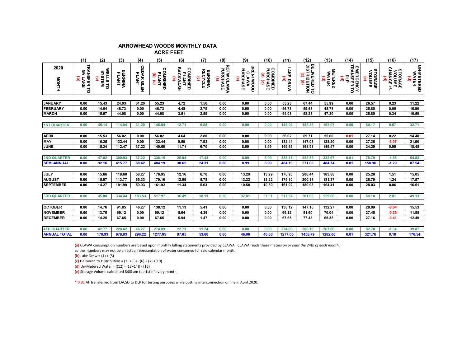### **ARROWHEAD WOODS MONTHLY DATA**

 **ACRE FEET** 

|                     | (1)                                              | (2)                                          | (3)                     | (4)                         | (5)                                     | (6)                                                            | (7)                                                 | (8)                         | (9)                                        | (10)                                                                   | (11)                                | (12)                                                        | (13)                                              | (14)                               | (15)                                        | (16)                                          | (17)                     |
|---------------------|--------------------------------------------------|----------------------------------------------|-------------------------|-----------------------------|-----------------------------------------|----------------------------------------------------------------|-----------------------------------------------------|-----------------------------|--------------------------------------------|------------------------------------------------------------------------|-------------------------------------|-------------------------------------------------------------|---------------------------------------------------|------------------------------------|---------------------------------------------|-----------------------------------------------|--------------------------|
| 2020<br>MONTH       | TRANSFER TO<br>GV LAKE<br>$\widehat{\mathbf{g}}$ | WELLS TO<br>SYSTEM<br>$\widehat{\mathbf{e}}$ | <b>BERNINA</b><br>PLANT | <b>CEDAR GLEN<br/>PLANT</b> | <b>COMBINED</b><br>PLANT<br>$(a)$ $(c)$ | <b>BACKWASH</b><br>COMBINED<br>PLANT<br>$\widehat{\mathbf{e}}$ | <b>BERNINA</b><br>RECYCLE<br>$\widehat{\mathbf{e}}$ | ROTW CLAWA<br>PURCHASE<br>ම | <b>BRENTWOOD</b><br>CLAWA<br>PURCHASE<br>® | <b>COMBINED<br/>PURCHASE</b><br>$\mathbf{e}$<br>$\widehat{\mathbf{e}}$ | LAKE DRAW<br>$\widehat{\mathbf{g}}$ | DELIVERED TO<br>DISTRIBUTION<br>$\widehat{\mathbf{e}}$<br>ê | <b>METERED</b><br>WATER<br>$\widehat{\mathbf{e}}$ | EMERGENCY<br>TRANSFER TO<br>믕<br>ê | STORAGE<br>VOLUME<br>$\widehat{\mathbf{e}}$ | <b>STORAGE<br/>VOLUME<br/>CHANGE +/-</b><br>ê | UN-METERED<br>WATER<br>ê |
|                     |                                                  |                                              |                         |                             |                                         |                                                                |                                                     |                             |                                            |                                                                        |                                     |                                                             |                                                   |                                    |                                             |                                               |                          |
| <b>JANUARY</b>      | 0.00                                             | 15.43                                        | 24.03                   | 31.20                       | 55.23                                   | 4.72                                                           | 1.50                                                | 0.00                        | 0.00                                       | 0.00                                                                   | 55.23                               | 67.44                                                       | 55.99                                             | 0.00                               | 26.57                                       | 0.23                                          | 11.22                    |
| <b>FEBRUARY</b>     | 0.00                                             | 14.64                                        | 46.73                   | 0.00                        | 46.73                                   | 4.48                                                           | 2.79                                                | 0.00                        | 0.00                                       | 0.00                                                                   | 46.73                               | 59.68                                                       | 48.78                                             | 0.00                               | 26.80                                       | 0.00                                          | 10.90                    |
| <b>MARCH</b>        | 0.00                                             | 15.07                                        | 44.08                   | 0.00                        | 44.08                                   | 3.51                                                           | 2.59                                                | 0.00                        | 0.00                                       | 0.00                                                                   | 44.08                               | 58.23                                                       | 47.30                                             | 0.00                               | 26.80                                       | 0.34                                          | 10.59                    |
|                     |                                                  |                                              |                         |                             |                                         |                                                                |                                                     |                             |                                            |                                                                        |                                     |                                                             |                                                   |                                    |                                             |                                               |                          |
| <b>1ST QUARTER</b>  | 0.00                                             | 45.14                                        | 114.84                  | 31.20                       | 146.04                                  | 12.71                                                          | 6.88                                                | 0.00                        | 0.00                                       | 0.00                                                                   | 146.04                              | 185.35                                                      | 152.07                                            | 0.00                               | 80.17                                       | 0.57                                          | 32.71                    |
|                     |                                                  |                                              |                         |                             |                                         |                                                                |                                                     |                             |                                            |                                                                        |                                     |                                                             |                                                   |                                    |                                             |                                               |                          |
| <b>APRIL</b>        | 0.00                                             | 15.53                                        | 56.02                   | 0.00                        | 56.02                                   | 4.64                                                           | 2.80                                                | 0.00                        | 0.00                                       | 0.00                                                                   | 56.02                               | 69.71                                                       | 55.00                                             | 0.01                               | 27.14                                       | 0.22                                          | 14.48                    |
| <b>MAY</b>          | 0.00                                             | 16.25                                        | 132.44                  | 0.00                        | 132.44                                  | 9.59                                                           | 7.93                                                | 0.00                        | 0.00                                       | 0.00                                                                   | 132.44                              | 147.03                                                      | 128.20                                            | 0.00                               | 27.36                                       | $-3.07$                                       | 21.90                    |
| JUNE                | 0.00                                             | 15.24                                        | 112.47                  | 37.22                       | 149.69                                  | 11.71                                                          | 6.70                                                | 0.00                        | 8.99                                       | 8.99                                                                   | 149.69                              | 168.91                                                      | 149.47                                            | 0.00                               | 24.29                                       | 0.99                                          | 18.45                    |
|                     |                                                  |                                              |                         |                             |                                         |                                                                |                                                     |                             |                                            |                                                                        |                                     |                                                             |                                                   |                                    |                                             |                                               |                          |
| <b>2ND QUARTER</b>  | 0.00                                             | 47.02                                        | 300.93                  | 37.22                       | 338.15                                  | 25.94                                                          | 17.43                                               | 0.00                        | 8.99                                       | 8.99                                                                   | 338.15                              | 385.65                                                      | 332.67                                            | 0.01                               | 78.79                                       | $-1.86$                                       | 54.83                    |
| <b>SEMI-ANNUAL</b>  | 0.00                                             | 92.16                                        | 415.77                  | 68.42                       | 484.19                                  | 38.65                                                          | 24.31                                               | 0.00                        | 8.99                                       | 8.99                                                                   | 484.19                              | 571.00                                                      | 484.74                                            | 0.01                               | 158.96                                      | $-1.29$                                       | 87.54                    |
|                     |                                                  |                                              |                         |                             |                                         |                                                                |                                                     |                             |                                            |                                                                        |                                     |                                                             |                                                   |                                    |                                             |                                               |                          |
| <b>JULY</b>         | 0.00                                             | 15.66                                        | 118.68                  | 58.27                       | 176.95                                  | 12.16                                                          | 6.70                                                | 0.00                        | 13.29                                      | 13.29                                                                  | 176.95                              | 200.44                                                      | 183.88                                            | 0.00                               | 25.28                                       | 1.51                                          | 15.05                    |
| <b>AUGUST</b>       | 0.00                                             | 15.07                                        | 113.77                  | 65.33                       | 179.10                                  | 12.99                                                          | 5.78                                                | 0.00                        | 13.22                                      | 13.22                                                                  | 179.10                              | 200.18                                                      | 181.37                                            | 0.00                               | 26.79                                       | 1.24                                          | 17.57                    |
| <b>SEPTEMBER</b>    | 0.00                                             | 14.27                                        | 101.99                  | 59.93                       | 161.92                                  | 11.34                                                          | 5.63                                                | 0.00                        | 10.50                                      | 10.50                                                                  | 161.92                              | 180.98                                                      | 164.41                                            | 0.00                               | 28.03                                       | 0.06                                          | 16.51                    |
|                     |                                                  |                                              |                         |                             |                                         |                                                                |                                                     |                             |                                            |                                                                        |                                     |                                                             |                                                   |                                    |                                             |                                               |                          |
| <b>3RD QUARTER</b>  | 0.00                                             | 45.00                                        | 334.44                  | 183.53                      | 517.97                                  | 36.49                                                          | 18.11                                               | 0.00                        | 37.01                                      | 37.01                                                                  | 517.97                              | 581.60                                                      | 529.66                                            | 0.00                               | 80.10                                       | 2.81                                          | 49.13                    |
|                     |                                                  |                                              |                         |                             |                                         |                                                                |                                                     |                             |                                            |                                                                        |                                     |                                                             |                                                   |                                    |                                             |                                               |                          |
| <b>OCTOBER</b>      | 0.00                                             | 14.76                                        | 91.85                   | 46.27                       | 138.12                                  | 11.13                                                          | 5.41                                                | 0.00                        | 0.00                                       | 0.00                                                                   | 138.12                              | 147.16                                                      | 132.27                                            | 0.00                               | 28.09                                       | $-0.64$                                       | 15.53                    |
| <b>NOVEMBER</b>     | 0.00                                             | 13.76                                        | 69.12                   | 0.00                        | 69.12                                   | 5.64                                                           | 4.36                                                | 0.00                        | 0.00                                       | 0.00                                                                   | 69.12                               | 81.60                                                       | 70.04                                             | 0.00                               | 27.45                                       | $-0.29$                                       | 11.85                    |
| <b>DECEMBER</b>     | 0.00                                             | 14.25                                        | 67.65                   | 0.00                        | 67.65                                   | 5.94                                                           | 1.47                                                | 0.00                        | 0.00                                       | 0.00                                                                   | 67.65                               | 77.43                                                       | 65.35                                             | 0.00                               | 27.16                                       | $-0.41$                                       | 12.49                    |
|                     |                                                  |                                              |                         |                             |                                         |                                                                |                                                     |                             |                                            |                                                                        |                                     |                                                             |                                                   |                                    |                                             |                                               |                          |
| <b>4TH QUARTER</b>  | 0.00                                             | 42.77                                        | 228.62                  | 46.27                       | 274.89                                  | 22.71                                                          | 11.24                                               | 0.00                        | 0.00                                       | 0.00                                                                   | 274.89                              | 306.19                                                      | 267.66                                            | 0.00                               | 82.70                                       | $-1.34$                                       | 39.87                    |
| <b>ANNUAL TOTAL</b> | 0.00                                             | 179.93                                       | 978.83                  | 298.22                      | 1277.05                                 | 97.85                                                          | 53.66                                               | 0.00                        | 46.00                                      | 46.00                                                                  | 1277.05                             | 1458.79                                                     | 1282.06                                           | 0.01                               | 321.76                                      | 0.18                                          | 176.54                   |

**(a)** CLAWA consumption numbers are based upon monthly billing statements provided by CLAWA. CLAWA reads these meters *on or near the 24th of each month* ,

so the numbers may not be an actual representation of water consumed for said calendar month.

**(b)** Lake Draw = (1) + (5)

**(c)** Delivered to Distribution =  $(2) + (5) - (6) + (7) + (10)$ 

**(d)** Un-Metered Water = ((12) - (13+14)) - (16)

**(e)** Storage Volume calculated 8:00 am the 1st of every month.

**\*** 0.01 AF transferred from LACSD to DLP for testing purposes while putting interconnection online in April 2020.